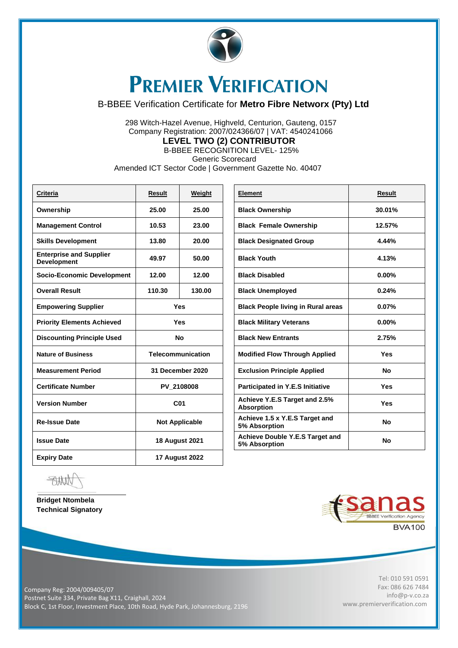

## **PREMIER VERIFICATION**

## B-BBEE Verification Certificate for **Metro Fibre Networx (Pty) Ltd**

 298 Witch-Hazel Avenue, Highveld, Centurion, Gauteng, 0157 Company Registration: 2007/024366/07 | VAT: 4540241066 **LEVEL TWO (2) CONTRIBUTOR**

B-BBEE RECOGNITION LEVEL- 125%

Generic Scorecard

Amended ICT Sector Code | Government Gazette No. 40407

| <b>Criteria</b>                                      | <b>Result</b>            | Weight | Element                                            | <b>Result</b> |
|------------------------------------------------------|--------------------------|--------|----------------------------------------------------|---------------|
| Ownership                                            | 25.00                    | 25.00  | <b>Black Ownership</b>                             | 30.01%        |
| <b>Management Control</b>                            | 10.53                    | 23.00  | <b>Black Female Ownership</b>                      | 12.57%        |
| <b>Skills Development</b>                            | 13.80                    | 20.00  | <b>Black Designated Group</b>                      | 4.44%         |
| <b>Enterprise and Supplier</b><br><b>Development</b> | 49.97                    | 50.00  | <b>Black Youth</b>                                 | 4.13%         |
| <b>Socio-Economic Development</b>                    | 12.00                    | 12.00  | <b>Black Disabled</b>                              | $0.00\%$      |
| <b>Overall Result</b>                                | 110.30                   | 130.00 | <b>Black Unemployed</b>                            | 0.24%         |
| <b>Empowering Supplier</b>                           | <b>Yes</b>               |        | <b>Black People living in Rural areas</b>          | 0.07%         |
| <b>Priority Elements Achieved</b>                    | <b>Yes</b>               |        | <b>Black Military Veterans</b>                     | $0.00\%$      |
| <b>Discounting Principle Used</b>                    | No                       |        | <b>Black New Entrants</b>                          | 2.75%         |
| <b>Nature of Business</b>                            | <b>Telecommunication</b> |        | <b>Modified Flow Through Applied</b>               | <b>Yes</b>    |
| <b>Measurement Period</b>                            | 31 December 2020         |        | <b>Exclusion Principle Applied</b>                 | No.           |
| <b>Certificate Number</b>                            | PV 2108008               |        | Participated in Y.E.S Initiative                   | <b>Yes</b>    |
| <b>Version Number</b>                                | C <sub>01</sub>          |        | Achieve Y.E.S Target and 2.5%<br><b>Absorption</b> | <b>Yes</b>    |
| <b>Re-Issue Date</b>                                 | <b>Not Applicable</b>    |        | Achieve 1.5 x Y.E.S Target and<br>5% Absorption    | <b>No</b>     |
| <b>Issue Date</b>                                    | <b>18 August 2021</b>    |        | Achieve Double Y.E.S Target and<br>5% Absorption   | No            |
| <b>Expiry Date</b>                                   | <b>17 August 2022</b>    |        |                                                    |               |

| <b>Element</b>                                     | <b>Result</b> |
|----------------------------------------------------|---------------|
| <b>Black Ownership</b>                             | 30.01%        |
| <b>Black Female Ownership</b>                      | 12.57%        |
| <b>Black Designated Group</b>                      | 4.44%         |
| <b>Black Youth</b>                                 | 4.13%         |
| <b>Black Disabled</b>                              | $0.00\%$      |
| <b>Black Unemployed</b>                            | 0.24%         |
| <b>Black People living in Rural areas</b>          | 0.07%         |
| <b>Black Military Veterans</b>                     | $0.00\%$      |
| <b>Black New Entrants</b>                          | 2.75%         |
| <b>Modified Flow Through Applied</b>               | Yes           |
| <b>Exclusion Principle Applied</b>                 | No            |
| <b>Participated in Y.E.S Initiative</b>            | Yes           |
| Achieve Y.E.S Target and 2.5%<br><b>Absorption</b> | Yes           |
| Achieve 1.5 x Y.E.S Target and<br>5% Absorption    | Nο            |
| Achieve Double Y.E.S Target and<br>5% Absorption   | Nο            |

仙桥

**Bridget Ntombela Technical Signatory** 



Tel: 010 591 0591 Fax: 086 626 7484 [info@p-v.co.za](mailto:info@p-v.co.za) www.premierverification.com

Company Reg: 2004/009405/07 Postnet Suite 334, Private Bag X11, Craighall, 2024 Block C, 1st Floor, Investment Place, 10th Road, Hyde Park, Johannesburg, 2196